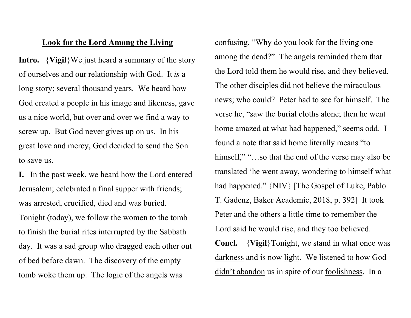## Look for the Lord Among the Living

**Intro.**  $\{V$ **igil** $\}$ We just heard a summary of the story of ourselves and our relationship with God. It is a long story; several thousand years. We heard how God created a people in his image and likeness, gave us a nice world, but over and over we find a way to screw up. But God never gives up on us. In his great love and mercy, God decided to send the Son to save us.

I. In the past week, we heard how the Lord entered Jerusalem; celebrated a final supper with friends; was arrested, crucified, died and was buried. Tonight (today), we follow the women to the tomb to finish the burial rites interrupted by the Sabbath day. It was a sad group who dragged each other out of bed before dawn. The discovery of the empty tomb woke them up. The logic of the angels was

confusing, "Why do you look for the living one among the dead?" The angels reminded them that the Lord told them he would rise, and they believed. The other disciples did not believe the miraculous news; who could? Peter had to see for himself. The verse he, "saw the burial cloths alone; then he went home amazed at what had happened," seems odd. I found a note that said home literally means "to himself," "...so that the end of the verse may also be translated 'he went away, wondering to himself what had happened." {NIV} [The Gospel of Luke, Pablo T. Gadenz, Baker Academic, 2018, p. 392] It took Peter and the others a little time to remember the Lord said he would rise, and they too believed. Concl. {Vigil}Tonight, we stand in what once was

darkness and is now light. We listened to how God didn't abandon us in spite of our foolishness. In a